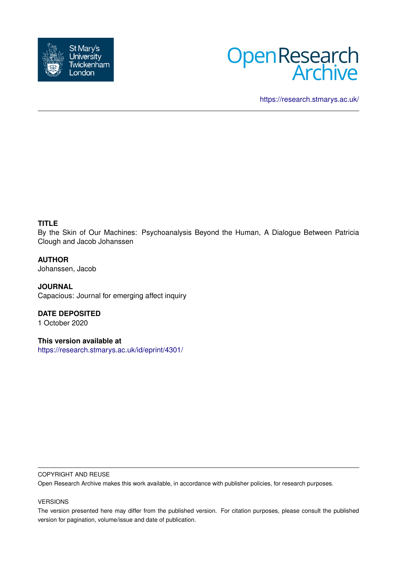



<https://research.stmarys.ac.uk/>

## **TITLE**

By the Skin of Our Machines: Psychoanalysis Beyond the Human, A Dialogue Between Patricia Clough and Jacob Johanssen

## **AUTHOR**

Johanssen, Jacob

**JOURNAL** Capacious: Journal for emerging affect inquiry

**DATE DEPOSITED** 1 October 2020

**This version available at** <https://research.stmarys.ac.uk/id/eprint/4301/>

#### COPYRIGHT AND REUSE

Open Research Archive makes this work available, in accordance with publisher policies, for research purposes.

#### VERSIONS

The version presented here may differ from the published version. For citation purposes, please consult the published version for pagination, volume/issue and date of publication.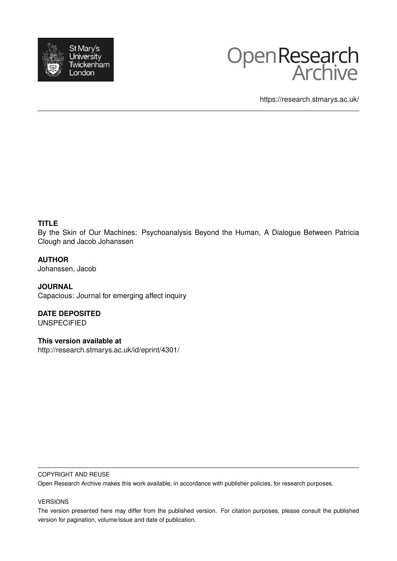



https://research.stmarys.ac.uk/

## **TITLE**

By the Skin of Our Machines: Psychoanalysis Beyond the Human, A Dialogue Between Patricia Clough and Jacob Johanssen

## **AUTHOR**

Johanssen, Jacob

**JOURNAL** Capacious: Journal for emerging affect inquiry

**DATE DEPOSITED UNSPECIFIED** 

**This version available at**

http://research.stmarys.ac.uk/id/eprint/4301/

#### COPYRIGHT AND REUSE

Open Research Archive makes this work available, in accordance with publisher policies, for research purposes.

#### VERSIONS

The version presented here may differ from the published version. For citation purposes, please consult the published version for pagination, volume/issue and date of publication.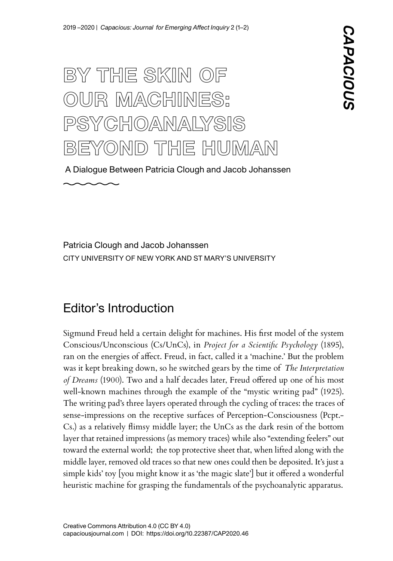# BY THE SKIN OF OUR MACHINES: PSYCHOANALYSIS BEYOND THE HUMAN

A Dialogue Between Patricia Clough and Jacob Johanssen

CITY UNIVERSITY OF NEW YORK AND ST MARY'S UNIVERSITY Patricia Clough and Jacob Johanssen

# Editor's Introduction

Sigmund Freud held a certain delight for machines. His frst model of the system Conscious/Unconscious (Cs/UnCs), in *Project for a Scientifc Psychology* (1895), ran on the energies of afect. Freud, in fact, called it a 'machine.' But the problem was it kept breaking down, so he switched gears by the time of *The Interpretation of Dreams* (1900). Two and a half decades later, Freud offered up one of his most well-known machines through the example of the "mystic writing pad" (1925). The writing pad's three layers operated through the cycling of traces: the traces of sense-impressions on the receptive surfaces of Perception-Consciousness (Pcpt.- Cs.) as a relatively fimsy middle layer; the UnCs as the dark resin of the bottom layer that retained impressions (as memory traces) while also "extending feelers" out toward the external world; the top protective sheet that, when lifted along with the middle layer, removed old traces so that new ones could then be deposited. It's just a simple kids' toy [you might know it as 'the magic slate'] but it offered a wonderful heuristic machine for grasping the fundamentals of the psychoanalytic apparatus.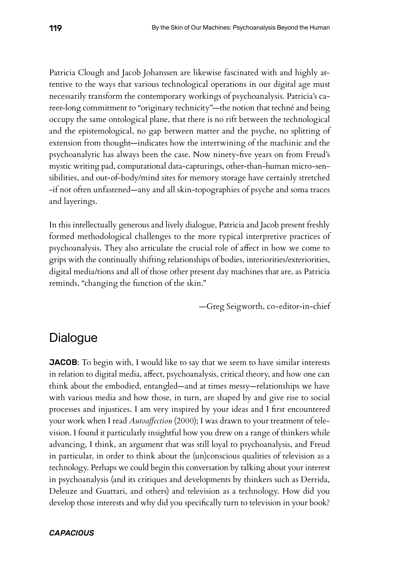Patricia Clough and Jacob Johanssen are likewise fascinated with and highly attentive to the ways that various technological operations in our digital age must necessarily transform the contemporary workings of psychoanalysis. Patricia's career-long commitment to "originary technicity"—the notion that techné and being occupy the same ontological plane, that there is no rift between the technological and the epistemological, no gap between matter and the psyche, no splitting of extension from thought—indicates how the intertwining of the machinic and the psychoanalytic has always been the case. Now ninety-fve years on from Freud's mystic writing pad, computational data-capturings, other-than-human micro-sensibilities, and out-of-body/mind sites for memory storage have certainly stretched -if not often unfastened—any and all skin-topographies of psyche and soma traces and layerings.

In this intellectually generous and lively dialogue, Patricia and Jacob present freshly formed methodological challenges to the more typical interpretive practices of psychoanalysis. They also articulate the crucial role of afect in how we come to grips with the continually shifting relationships of bodies, interiorities/exteriorities, digital media/tions and all of those other present day machines that are, as Patricia reminds, "changing the function of the skin."

—Greg Seigworth, co-editor-in-chief

# **Dialogue**

**JACOB:** To begin with, I would like to say that we seem to have similar interests in relation to digital media, afect, psychoanalysis, critical theory, and how one can think about the embodied, entangled—and at times messy—relationships we have with various media and how those, in turn, are shaped by and give rise to social processes and injustices. I am very inspired by your ideas and I frst encountered your work when I read *Autoafection* (2000); I was drawn to your treatment of television. I found it particularly insightful how you drew on a range of thinkers while advancing, I think, an argument that was still loyal to psychoanalysis, and Freud in particular, in order to think about the (un)conscious qualities of television as a technology. Perhaps we could begin this conversation by talking about your interest in psychoanalysis (and its critiques and developments by thinkers such as Derrida, Deleuze and Guattari, and others) and television as a technology. How did you develop those interests and why did you specifcally turn to television in your book?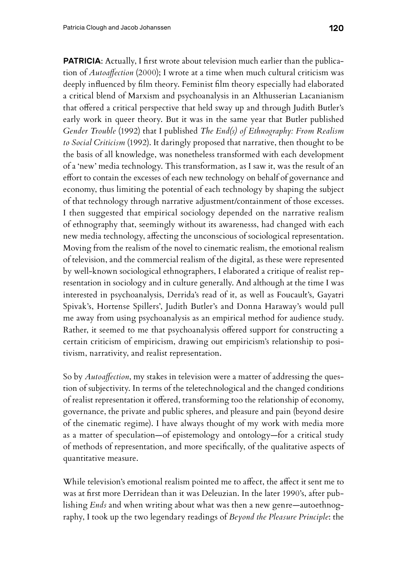**PATRICIA:** Actually, I first wrote about television much earlier than the publication of *Autoafection* (2000); I wrote at a time when much cultural criticism was deeply infuenced by flm theory. Feminist flm theory especially had elaborated a critical blend of Marxism and psychoanalysis in an Althusserian Lacanianism that ofered a critical perspective that held sway up and through Judith Butler's early work in queer theory. But it was in the same year that Butler published *Gender Trouble* (1992) that I published *The End(s) of Ethnography: From Realism to Social Criticism* (1992). It daringly proposed that narrative, then thought to be the basis of all knowledge, was nonetheless transformed with each development of a 'new' media technology. This transformation, as I saw it, was the result of an efort to contain the excesses of each new technology on behalf of governance and economy, thus limiting the potential of each technology by shaping the subject of that technology through narrative adjustment/containment of those excesses. I then suggested that empirical sociology depended on the narrative realism of ethnography that, seemingly without its awarenesss, had changed with each new media technology, afecting the unconscious of sociological representation. Moving from the realism of the novel to cinematic realism, the emotional realism of television, and the commercial realism of the digital, as these were represented by well-known sociological ethnographers, I elaborated a critique of realist representation in sociology and in culture generally. And although at the time I was interested in psychoanalysis, Derrida's read of it, as well as Foucault's, Gayatri Spivak's, Hortense Spillers', Judith Butler's and Donna Haraway's would pull me away from using psychoanalysis as an empirical method for audience study. Rather, it seemed to me that psychoanalysis ofered support for constructing a certain criticism of empiricism, drawing out empiricism's relationship to positivism, narrativity, and realist representation.

So by *Autoafection*, my stakes in television were a matter of addressing the question of subjectivity. In terms of the teletechnological and the changed conditions of realist representation it ofered, transforming too the relationship of economy, governance, the private and public spheres, and pleasure and pain (beyond desire of the cinematic regime). I have always thought of my work with media more as a matter of speculation—of epistemology and ontology—for a critical study of methods of representation, and more specifcally, of the qualitative aspects of quantitative measure.

While television's emotional realism pointed me to affect, the affect it sent me to was at frst more Derridean than it was Deleuzian. In the later 1990's, after publishing *Ends* and when writing about what was then a new genre—autoethnography, I took up the two legendary readings of *Beyond the Pleasure Principle*: the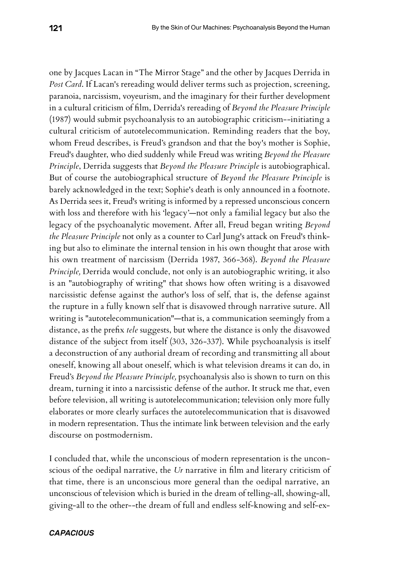one by Jacques Lacan in "The Mirror Stage" and the other by Jacques Derrida in *Post Card*. If Lacan's rereading would deliver terms such as projection, screening, paranoia, narcissism, voyeurism, and the imaginary for their further development in a cultural criticism of flm, Derrida's rereading of *Beyond the Pleasure Principle* (1987) would submit psychoanalysis to an autobiographic criticism--initiating a cultural criticism of autotelecommunication. Reminding readers that the boy, whom Freud describes, is Freud's grandson and that the boy's mother is Sophie, Freud's daughter, who died suddenly while Freud was writing *Beyond the Pleasure Principle*, Derrida suggests that *Beyond the Pleasure Principle* is autobiographical. But of course the autobiographical structure of *Beyond the Pleasure Principle* is barely acknowledged in the text; Sophie's death is only announced in a footnote. As Derrida sees it, Freud's writing is informed by a repressed unconscious concern with loss and therefore with his 'legacy'—not only a familial legacy but also the legacy of the psychoanalytic movement. After all, Freud began writing *Beyond the Pleasure Principle* not only as a counter to Carl Jung's attack on Freud's thinking but also to eliminate the internal tension in his own thought that arose with his own treatment of narcissism (Derrida 1987, 366-368). *Beyond the Pleasure Principle,* Derrida would conclude, not only is an autobiographic writing, it also is an "autobiography of writing" that shows how often writing is a disavowed narcissistic defense against the author's loss of self, that is, the defense against the rupture in a fully known self that is disavowed through narrative suture. All writing is "autotelecommunication"—that is, a communication seemingly from a distance, as the prefx *tele* suggests, but where the distance is only the disavowed distance of the subject from itself (303, 326-337). While psychoanalysis is itself a deconstruction of any authorial dream of recording and transmitting all about oneself, knowing all about oneself, which is what television dreams it can do, in Freud's *Beyond the Pleasure Principle,* psychoanalysis also is shown to turn on this dream, turning it into a narcissistic defense of the author. It struck me that, even before television, all writing is autotelecommunication; television only more fully elaborates or more clearly surfaces the autotelecommunication that is disavowed in modern representation. Thus the intimate link between television and the early discourse on postmodernism.

I concluded that, while the unconscious of modern representation is the unconscious of the oedipal narrative, the *Ur* narrative in flm and literary criticism of that time, there is an unconscious more general than the oedipal narrative, an unconscious of television which is buried in the dream of telling-all, showing-all, giving-all to the other--the dream of full and endless self-knowing and self-ex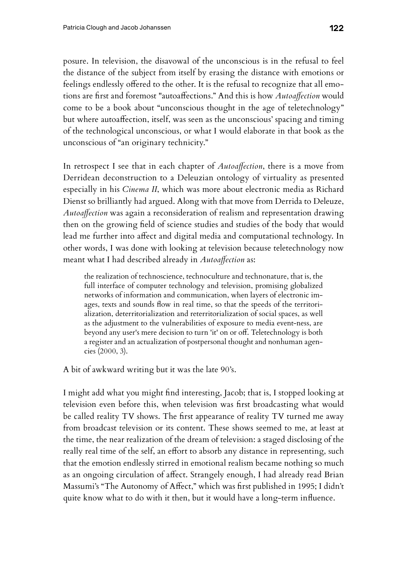posure. In television, the disavowal of the unconscious is in the refusal to feel the distance of the subject from itself by erasing the distance with emotions or feelings endlessly offered to the other. It is the refusal to recognize that all emotions are frst and foremost "autoafections." And this is how *Autoafection* would come to be a book about "unconscious thought in the age of teletechnology" but where autoafection, itself, was seen as the unconscious' spacing and timing of the technological unconscious, or what I would elaborate in that book as the unconscious of "an originary technicity."

In retrospect I see that in each chapter of *Autoafection*, there is a move from Derridean deconstruction to a Deleuzian ontology of virtuality as presented especially in his *Cinema II*, which was more about electronic media as Richard Dienst so brilliantly had argued. Along with that move from Derrida to Deleuze, *Autoafection* was again a reconsideration of realism and representation drawing then on the growing feld of science studies and studies of the body that would lead me further into affect and digital media and computational technology. In other words, I was done with looking at television because teletechnology now meant what I had described already in *Autoafection* as:

the realization of technoscience, technoculture and technonature, that is, the full interface of computer technology and television, promising globalized networks of information and communication, when layers of electronic images, texts and sounds fow in real time, so that the speeds of the territorialization, deterritorialization and reterritorialization of social spaces, as well as the adjustment to the vulnerabilities of exposure to media event-ness, are beyond any user's mere decision to turn 'it' on or of. Teletechnology is both a register and an actualization of postpersonal thought and nonhuman agencies (2000, 3).

A bit of awkward writing but it was the late 90's.

I might add what you might fnd interesting, Jacob; that is, I stopped looking at television even before this, when television was frst broadcasting what would be called reality TV shows. The frst appearance of reality TV turned me away from broadcast television or its content. These shows seemed to me, at least at the time, the near realization of the dream of television: a staged disclosing of the really real time of the self, an effort to absorb any distance in representing, such that the emotion endlessly stirred in emotional realism became nothing so much as an ongoing circulation of afect. Strangely enough, I had already read Brian Massumi's "The Autonomy of Afect," which was frst published in 1995; I didn't quite know what to do with it then, but it would have a long-term infuence.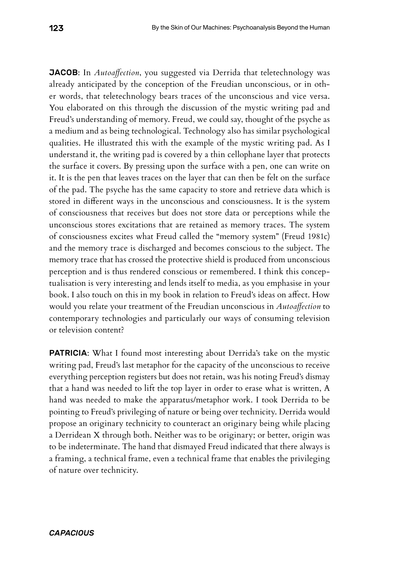JACOB: In *Autoafection*, you suggested via Derrida that teletechnology was already anticipated by the conception of the Freudian unconscious, or in other words, that teletechnology bears traces of the unconscious and vice versa. You elaborated on this through the discussion of the mystic writing pad and Freud's understanding of memory. Freud, we could say, thought of the psyche as a medium and as being technological. Technology also has similar psychological qualities. He illustrated this with the example of the mystic writing pad. As I understand it, the writing pad is covered by a thin cellophane layer that protects the surface it covers. By pressing upon the surface with a pen, one can write on it. It is the pen that leaves traces on the layer that can then be felt on the surface of the pad. The psyche has the same capacity to store and retrieve data which is stored in diferent ways in the unconscious and consciousness. It is the system of consciousness that receives but does not store data or perceptions while the unconscious stores excitations that are retained as memory traces. The system of consciousness excites what Freud called the "memory system" (Freud 1981c) and the memory trace is discharged and becomes conscious to the subject. The memory trace that has crossed the protective shield is produced from unconscious perception and is thus rendered conscious or remembered. I think this conceptualisation is very interesting and lends itself to media, as you emphasise in your book. I also touch on this in my book in relation to Freud's ideas on afect. How would you relate your treatment of the Freudian unconscious in *Autoafection* to contemporary technologies and particularly our ways of consuming television or television content?

**PATRICIA:** What I found most interesting about Derrida's take on the mystic writing pad, Freud's last metaphor for the capacity of the unconscious to receive everything perception registers but does not retain, was his noting Freud's dismay that a hand was needed to lift the top layer in order to erase what is written, A hand was needed to make the apparatus/metaphor work. I took Derrida to be pointing to Freud's privileging of nature or being over technicity. Derrida would propose an originary technicity to counteract an originary being while placing a Derridean X through both. Neither was to be originary; or better, origin was to be indeterminate. The hand that dismayed Freud indicated that there always is a framing, a technical frame, even a technical frame that enables the privileging of nature over technicity.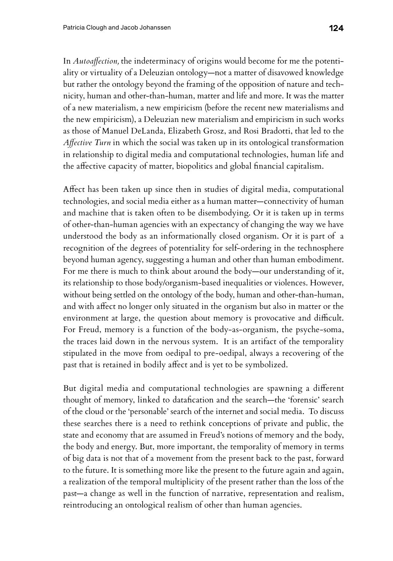In *Autoafection,* the indeterminacy of origins would become for me the potentiality or virtuality of a Deleuzian ontology—not a matter of disavowed knowledge but rather the ontology beyond the framing of the opposition of nature and technicity, human and other-than-human, matter and life and more. It was the matter of a new materialism, a new empiricism (before the recent new materialisms and the new empiricism), a Deleuzian new materialism and empiricism in such works as those of Manuel DeLanda, Elizabeth Grosz, and Rosi Bradotti, that led to the *Afective Turn* in which the social was taken up in its ontological transformation in relationship to digital media and computational technologies, human life and the afective capacity of matter, biopolitics and global fnancial capitalism.

Afect has been taken up since then in studies of digital media, computational technologies, and social media either as a human matter—connectivity of human and machine that is taken often to be disembodying. Or it is taken up in terms of other-than-human agencies with an expectancy of changing the way we have understood the body as an informationally closed organism. Or it is part of a recognition of the degrees of potentiality for self-ordering in the technosphere beyond human agency, suggesting a human and other than human embodiment. For me there is much to think about around the body—our understanding of it, its relationship to those body/organism-based inequalities or violences. However, without being settled on the ontology of the body, human and other-than-human, and with afect no longer only situated in the organism but also in matter or the environment at large, the question about memory is provocative and difficult. For Freud, memory is a function of the body-as-organism, the psyche-soma, the traces laid down in the nervous system. It is an artifact of the temporality stipulated in the move from oedipal to pre-oedipal, always a recovering of the past that is retained in bodily afect and is yet to be symbolized.

But digital media and computational technologies are spawning a diferent thought of memory, linked to datafcation and the search—the 'forensic' search of the cloud or the 'personable' search of the internet and social media. To discuss these searches there is a need to rethink conceptions of private and public, the state and economy that are assumed in Freud's notions of memory and the body, the body and energy. But, more important, the temporality of memory in terms of big data is not that of a movement from the present back to the past, forward to the future. It is something more like the present to the future again and again, a realization of the temporal multiplicity of the present rather than the loss of the past—a change as well in the function of narrative, representation and realism, reintroducing an ontological realism of other than human agencies.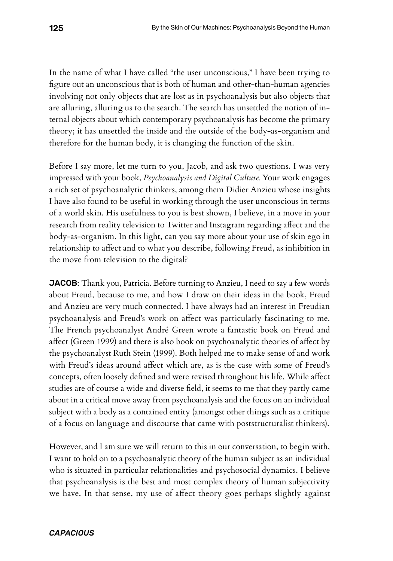In the name of what I have called "the user unconscious," I have been trying to fgure out an unconscious that is both of human and other-than-human agencies involving not only objects that are lost as in psychoanalysis but also objects that are alluring, alluring us to the search. The search has unsettled the notion of internal objects about which contemporary psychoanalysis has become the primary theory; it has unsettled the inside and the outside of the body-as-organism and therefore for the human body, it is changing the function of the skin.

Before I say more, let me turn to you, Jacob, and ask two questions. I was very impressed with your book, *Psychoanalysis and Digital Culture.* Your work engages a rich set of psychoanalytic thinkers, among them Didier Anzieu whose insights I have also found to be useful in working through the user unconscious in terms of a world skin. His usefulness to you is best shown, I believe, in a move in your research from reality television to Twitter and Instagram regarding afect and the body-as-organism. In this light, can you say more about your use of skin ego in relationship to afect and to what you describe, following Freud, as inhibition in the move from television to the digital?

JACOB: Thank you, Patricia. Before turning to Anzieu, I need to say a few words about Freud, because to me, and how I draw on their ideas in the book, Freud and Anzieu are very much connected. I have always had an interest in Freudian psychoanalysis and Freud's work on afect was particularly fascinating to me. The French psychoanalyst André Green wrote a fantastic book on Freud and afect (Green 1999) and there is also book on psychoanalytic theories of afect by the psychoanalyst Ruth Stein (1999). Both helped me to make sense of and work with Freud's ideas around afect which are, as is the case with some of Freud's concepts, often loosely defned and were revised throughout his life. While afect studies are of course a wide and diverse feld, it seems to me that they partly came about in a critical move away from psychoanalysis and the focus on an individual subject with a body as a contained entity (amongst other things such as a critique of a focus on language and discourse that came with poststructuralist thinkers).

However, and I am sure we will return to this in our conversation, to begin with, I want to hold on to a psychoanalytic theory of the human subject as an individual who is situated in particular relationalities and psychosocial dynamics. I believe that psychoanalysis is the best and most complex theory of human subjectivity we have. In that sense, my use of afect theory goes perhaps slightly against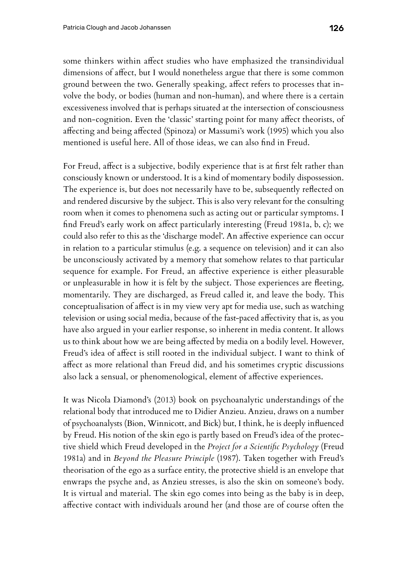some thinkers within afect studies who have emphasized the transindividual dimensions of afect, but I would nonetheless argue that there is some common ground between the two. Generally speaking, afect refers to processes that involve the body, or bodies (human and non-human), and where there is a certain excessiveness involved that is perhaps situated at the intersection of consciousness and non-cognition. Even the 'classic' starting point for many afect theorists, of afecting and being afected (Spinoza) or Massumi's work (1995) which you also mentioned is useful here. All of those ideas, we can also fnd in Freud.

For Freud, afect is a subjective, bodily experience that is at frst felt rather than consciously known or understood. It is a kind of momentary bodily dispossession. The experience is, but does not necessarily have to be, subsequently refected on and rendered discursive by the subject. This is also very relevant for the consulting room when it comes to phenomena such as acting out or particular symptoms. I fnd Freud's early work on afect particularly interesting (Freud 1981a, b, c); we could also refer to this as the 'discharge model'. An afective experience can occur in relation to a particular stimulus (e.g. a sequence on television) and it can also be unconsciously activated by a memory that somehow relates to that particular sequence for example. For Freud, an afective experience is either pleasurable or unpleasurable in how it is felt by the subject. Those experiences are feeting, momentarily. They are discharged, as Freud called it, and leave the body. This conceptualisation of afect is in my view very apt for media use, such as watching television or using social media, because of the fast-paced afectivity that is, as you have also argued in your earlier response, so inherent in media content. It allows us to think about how we are being afected by media on a bodily level. However, Freud's idea of afect is still rooted in the individual subject. I want to think of afect as more relational than Freud did, and his sometimes cryptic discussions also lack a sensual, or phenomenological, element of afective experiences.

It was Nicola Diamond's (2013) book on psychoanalytic understandings of the relational body that introduced me to Didier Anzieu. Anzieu, draws on a number of psychoanalysts (Bion, Winnicott, and Bick) but, I think, he is deeply infuenced by Freud. His notion of the skin ego is partly based on Freud's idea of the protective shield which Freud developed in the *Project for a Scientifc Psychology* (Freud 1981a) and in *Beyond the Pleasure Principle* (1987). Taken together with Freud's theorisation of the ego as a surface entity, the protective shield is an envelope that enwraps the psyche and, as Anzieu stresses, is also the skin on someone's body. It is virtual and material. The skin ego comes into being as the baby is in deep, afective contact with individuals around her (and those are of course often the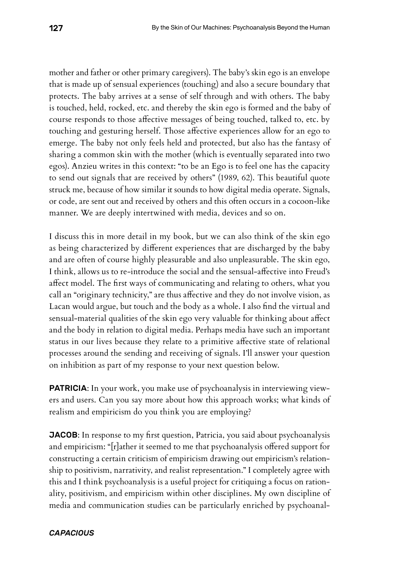mother and father or other primary caregivers). The baby's skin ego is an envelope that is made up of sensual experiences (touching) and also a secure boundary that protects. The baby arrives at a sense of self through and with others. The baby is touched, held, rocked, etc. and thereby the skin ego is formed and the baby of course responds to those afective messages of being touched, talked to, etc. by touching and gesturing herself. Those afective experiences allow for an ego to emerge. The baby not only feels held and protected, but also has the fantasy of sharing a common skin with the mother (which is eventually separated into two egos). Anzieu writes in this context: "to be an Ego is to feel one has the capacity to send out signals that are received by others" (1989, 62). This beautiful quote struck me, because of how similar it sounds to how digital media operate. Signals, or code, are sent out and received by others and this often occurs in a cocoon-like manner. We are deeply intertwined with media, devices and so on.

I discuss this in more detail in my book, but we can also think of the skin ego as being characterized by diferent experiences that are discharged by the baby and are often of course highly pleasurable and also unpleasurable. The skin ego, I think, allows us to re-introduce the social and the sensual-afective into Freud's afect model. The frst ways of communicating and relating to others, what you call an "originary technicity," are thus afective and they do not involve vision, as Lacan would argue, but touch and the body as a whole. I also fnd the virtual and sensual-material qualities of the skin ego very valuable for thinking about afect and the body in relation to digital media. Perhaps media have such an important status in our lives because they relate to a primitive afective state of relational processes around the sending and receiving of signals. I'll answer your question on inhibition as part of my response to your next question below.

**PATRICIA:** In your work, you make use of psychoanalysis in interviewing viewers and users. Can you say more about how this approach works; what kinds of realism and empiricism do you think you are employing?

JACOB: In response to my frst question, Patricia, you said about psychoanalysis and empiricism: "[r]ather it seemed to me that psychoanalysis ofered support for constructing a certain criticism of empiricism drawing out empiricism's relationship to positivism, narrativity, and realist representation." I completely agree with this and I think psychoanalysis is a useful project for critiquing a focus on rationality, positivism, and empiricism within other disciplines. My own discipline of media and communication studies can be particularly enriched by psychoanal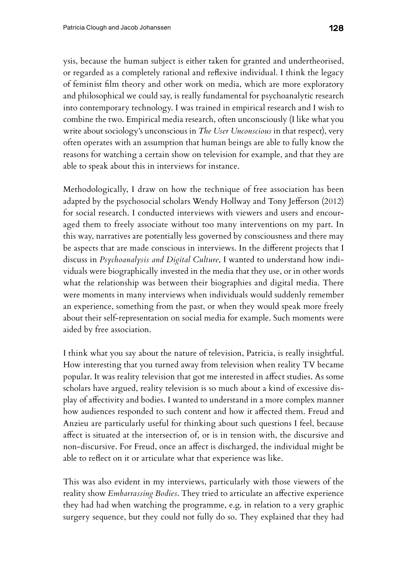ysis, because the human subject is either taken for granted and undertheorised, or regarded as a completely rational and refexive individual. I think the legacy of feminist flm theory and other work on media, which are more exploratory and philosophical we could say, is really fundamental for psychoanalytic research into contemporary technology. I was trained in empirical research and I wish to combine the two. Empirical media research, often unconsciously (I like what you write about sociology's unconscious in *The User Unconscious* in that respect), very often operates with an assumption that human beings are able to fully know the reasons for watching a certain show on television for example, and that they are able to speak about this in interviews for instance.

Methodologically, I draw on how the technique of free association has been adapted by the psychosocial scholars Wendy Hollway and Tony Jefferson (2012) for social research. I conducted interviews with viewers and users and encouraged them to freely associate without too many interventions on my part. In this way, narratives are potentially less governed by consciousness and there may be aspects that are made conscious in interviews. In the diferent projects that I discuss in *Psychoanalysis and Digital Culture*, I wanted to understand how individuals were biographically invested in the media that they use, or in other words what the relationship was between their biographies and digital media. There were moments in many interviews when individuals would suddenly remember an experience, something from the past, or when they would speak more freely about their self-representation on social media for example. Such moments were aided by free association.

I think what you say about the nature of television, Patricia, is really insightful. How interesting that you turned away from television when reality TV became popular. It was reality television that got me interested in afect studies. As some scholars have argued, reality television is so much about a kind of excessive display of afectivity and bodies. I wanted to understand in a more complex manner how audiences responded to such content and how it afected them. Freud and Anzieu are particularly useful for thinking about such questions I feel, because afect is situated at the intersection of, or is in tension with, the discursive and non-discursive. For Freud, once an afect is discharged, the individual might be able to refect on it or articulate what that experience was like.

This was also evident in my interviews, particularly with those viewers of the reality show *Embarrassing Bodies*. They tried to articulate an afective experience they had had when watching the programme, e.g. in relation to a very graphic surgery sequence, but they could not fully do so. They explained that they had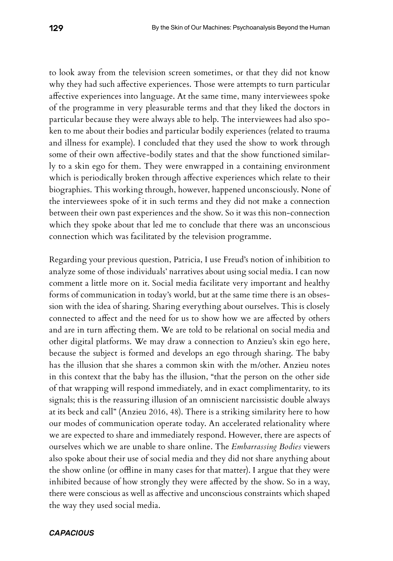to look away from the television screen sometimes, or that they did not know why they had such afective experiences. Those were attempts to turn particular afective experiences into language. At the same time, many interviewees spoke of the programme in very pleasurable terms and that they liked the doctors in particular because they were always able to help. The interviewees had also spoken to me about their bodies and particular bodily experiences (related to trauma and illness for example). I concluded that they used the show to work through some of their own afective-bodily states and that the show functioned similarly to a skin ego for them. They were enwrapped in a containing environment which is periodically broken through afective experiences which relate to their biographies. This working through, however, happened unconsciously. None of the interviewees spoke of it in such terms and they did not make a connection between their own past experiences and the show. So it was this non-connection which they spoke about that led me to conclude that there was an unconscious connection which was facilitated by the television programme.

Regarding your previous question, Patricia, I use Freud's notion of inhibition to analyze some of those individuals' narratives about using social media. I can now comment a little more on it. Social media facilitate very important and healthy forms of communication in today's world, but at the same time there is an obsession with the idea of sharing. Sharing everything about ourselves. This is closely connected to afect and the need for us to show how we are afected by others and are in turn afecting them. We are told to be relational on social media and other digital platforms. We may draw a connection to Anzieu's skin ego here, because the subject is formed and develops an ego through sharing. The baby has the illusion that she shares a common skin with the m/other. Anzieu notes in this context that the baby has the illusion, "that the person on the other side of that wrapping will respond immediately, and in exact complimentarity, to its signals; this is the reassuring illusion of an omniscient narcissistic double always at its beck and call" (Anzieu 2016, 48). There is a striking similarity here to how our modes of communication operate today. An accelerated relationality where we are expected to share and immediately respond. However, there are aspects of ourselves which we are unable to share online. The *Embarrassing Bodies* viewers also spoke about their use of social media and they did not share anything about the show online (or offline in many cases for that matter). I argue that they were inhibited because of how strongly they were afected by the show. So in a way, there were conscious as well as afective and unconscious constraints which shaped the way they used social media.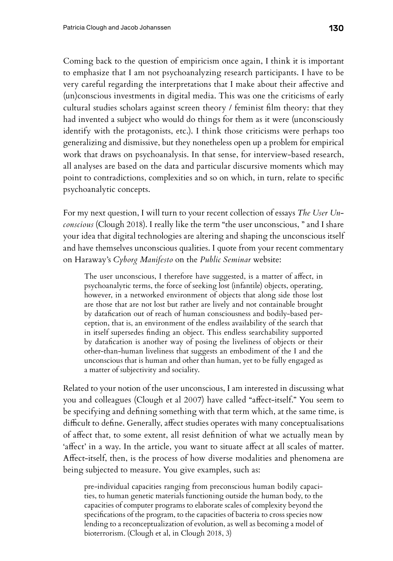Coming back to the question of empiricism once again, I think it is important to emphasize that I am not psychoanalyzing research participants. I have to be very careful regarding the interpretations that I make about their afective and (un)conscious investments in digital media. This was one the criticisms of early cultural studies scholars against screen theory / feminist flm theory: that they had invented a subject who would do things for them as it were (unconsciously identify with the protagonists, etc.). I think those criticisms were perhaps too generalizing and dismissive, but they nonetheless open up a problem for empirical work that draws on psychoanalysis. In that sense, for interview-based research, all analyses are based on the data and particular discursive moments which may point to contradictions, complexities and so on which, in turn, relate to specifc psychoanalytic concepts.

For my next question, I will turn to your recent collection of essays *The User Unconscious* (Clough 2018). I really like the term "the user unconscious, " and I share your idea that digital technologies are altering and shaping the unconscious itself and have themselves unconscious qualities. I quote from your recent commentary on Haraway's *Cyborg Manifesto* on the *Public Seminar* website:

The user unconscious, I therefore have suggested, is a matter of afect, in psychoanalytic terms, the force of seeking lost (infantile) objects, operating, however, in a networked environment of objects that along side those lost are those that are not lost but rather are lively and not containable brought by datafcation out of reach of human consciousness and bodily-based perception, that is, an environment of the endless availability of the search that in itself supersedes fnding an object. This endless searchability supported by datafcation is another way of posing the liveliness of objects or their other-than-human liveliness that suggests an embodiment of the I and the unconscious that is human and other than human, yet to be fully engaged as a matter of subjectivity and sociality.

Related to your notion of the user unconscious, I am interested in discussing what you and colleagues (Clough et al 2007) have called "afect-itself." You seem to be specifying and defning something with that term which, at the same time, is difficult to define. Generally, affect studies operates with many conceptualisations of afect that, to some extent, all resist defnition of what we actually mean by 'afect' in a way. In the article, you want to situate afect at all scales of matter. Afect-itself, then, is the process of how diverse modalities and phenomena are being subjected to measure. You give examples, such as:

pre-individual capacities ranging from preconscious human bodily capacities, to human genetic materials functioning outside the human body, to the capacities of computer programs to elaborate scales of complexity beyond the specifcations of the program, to the capacities of bacteria to cross species now lending to a reconceptualization of evolution, as well as becoming a model of bioterrorism. (Clough et al, in Clough 2018, 3)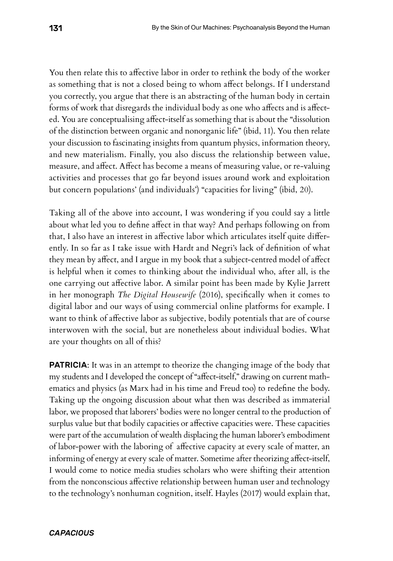You then relate this to affective labor in order to rethink the body of the worker as something that is not a closed being to whom afect belongs. If I understand you correctly, you argue that there is an abstracting of the human body in certain forms of work that disregards the individual body as one who affects and is affected. You are conceptualising afect-itself as something that is about the "dissolution of the distinction between organic and nonorganic life" (ibid, 11). You then relate your discussion to fascinating insights from quantum physics, information theory, and new materialism. Finally, you also discuss the relationship between value, measure, and afect. Afect has become a means of measuring value, or re-valuing activities and processes that go far beyond issues around work and exploitation but concern populations' (and individuals') "capacities for living" (ibid, 20).

Taking all of the above into account, I was wondering if you could say a little about what led you to defne afect in that way? And perhaps following on from that, I also have an interest in afective labor which articulates itself quite diferently. In so far as I take issue with Hardt and Negri's lack of defnition of what they mean by afect, and I argue in my book that a subject-centred model of afect is helpful when it comes to thinking about the individual who, after all, is the one carrying out afective labor. A similar point has been made by Kylie Jarrett in her monograph *The Digital Housewife* (2016), specifcally when it comes to digital labor and our ways of using commercial online platforms for example. I want to think of afective labor as subjective, bodily potentials that are of course interwoven with the social, but are nonetheless about individual bodies. What are your thoughts on all of this?

**PATRICIA:** It was in an attempt to theorize the changing image of the body that my students and I developed the concept of "afect-itself," drawing on current mathematics and physics (as Marx had in his time and Freud too) to redefne the body. Taking up the ongoing discussion about what then was described as immaterial labor, we proposed that laborers' bodies were no longer central to the production of surplus value but that bodily capacities or afective capacities were. These capacities were part of the accumulation of wealth displacing the human laborer's embodiment of labor-power with the laboring of afective capacity at every scale of matter, an informing of energy at every scale of matter. Sometime after theorizing afect-itself, I would come to notice media studies scholars who were shifting their attention from the nonconscious afective relationship between human user and technology to the technology's nonhuman cognition, itself. Hayles (2017) would explain that,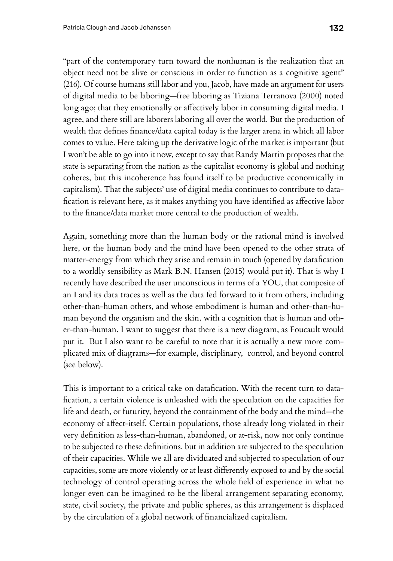"part of the contemporary turn toward the nonhuman is the realization that an object need not be alive or conscious in order to function as a cognitive agent" (216). Of course humans still labor and you, Jacob, have made an argument for users of digital media to be laboring—free laboring as Tiziana Terranova (2000) noted long ago; that they emotionally or affectively labor in consuming digital media. I agree, and there still are laborers laboring all over the world. But the production of wealth that defnes fnance/data capital today is the larger arena in which all labor comes to value. Here taking up the derivative logic of the market is important (but I won't be able to go into it now, except to say that Randy Martin proposes that the state is separating from the nation as the capitalist economy is global and nothing coheres, but this incoherence has found itself to be productive economically in capitalism). That the subjects' use of digital media continues to contribute to datafcation is relevant here, as it makes anything you have identifed as afective labor to the fnance/data market more central to the production of wealth.

Again, something more than the human body or the rational mind is involved here, or the human body and the mind have been opened to the other strata of matter-energy from which they arise and remain in touch (opened by datafcation to a worldly sensibility as Mark B.N. Hansen (2015) would put it). That is why I recently have described the user unconscious in terms of a YOU, that composite of an I and its data traces as well as the data fed forward to it from others, including other-than-human others, and whose embodiment is human and other-than-human beyond the organism and the skin, with a cognition that is human and other-than-human. I want to suggest that there is a new diagram, as Foucault would put it. But I also want to be careful to note that it is actually a new more complicated mix of diagrams—for example, disciplinary, control, and beyond control (see below).

This is important to a critical take on datafcation. With the recent turn to datafcation, a certain violence is unleashed with the speculation on the capacities for life and death, or futurity, beyond the containment of the body and the mind—the economy of afect-itself. Certain populations, those already long violated in their very defnition as less-than-human, abandoned, or at-risk, now not only continue to be subjected to these defnitions, but in addition are subjected to the speculation of their capacities. While we all are dividuated and subjected to speculation of our capacities, some are more violently or at least diferently exposed to and by the social technology of control operating across the whole feld of experience in what no longer even can be imagined to be the liberal arrangement separating economy, state, civil society, the private and public spheres, as this arrangement is displaced by the circulation of a global network of fnancialized capitalism.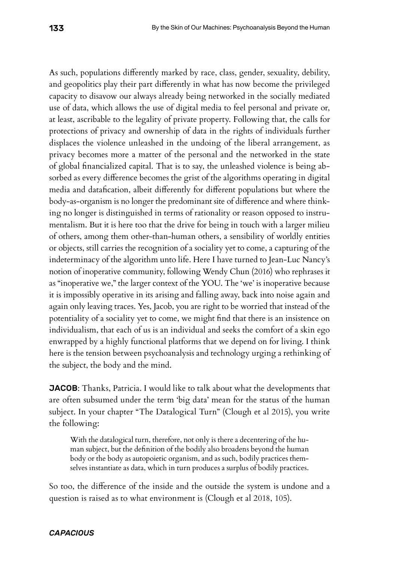As such, populations diferently marked by race, class, gender, sexuality, debility, and geopolitics play their part diferently in what has now become the privileged capacity to disavow our always already being networked in the socially mediated use of data, which allows the use of digital media to feel personal and private or, at least, ascribable to the legality of private property. Following that, the calls for protections of privacy and ownership of data in the rights of individuals further displaces the violence unleashed in the undoing of the liberal arrangement, as privacy becomes more a matter of the personal and the networked in the state of global fnancialized capital. That is to say, the unleashed violence is being absorbed as every diference becomes the grist of the algorithms operating in digital media and datafcation, albeit diferently for diferent populations but where the body-as-organism is no longer the predominant site of diference and where thinking no longer is distinguished in terms of rationality or reason opposed to instrumentalism. But it is here too that the drive for being in touch with a larger milieu of others, among them other-than-human others, a sensibility of worldly entities or objects, still carries the recognition of a sociality yet to come, a capturing of the indeterminacy of the algorithm unto life. Here I have turned to Jean-Luc Nancy's notion of inoperative community, following Wendy Chun (2016) who rephrases it as "inoperative we," the larger context of the YOU. The 'we' is inoperative because it is impossibly operative in its arising and falling away, back into noise again and again only leaving traces. Yes, Jacob, you are right to be worried that instead of the potentiality of a sociality yet to come, we might fnd that there is an insistence on individualism, that each of us is an individual and seeks the comfort of a skin ego enwrapped by a highly functional platforms that we depend on for living. I think here is the tension between psychoanalysis and technology urging a rethinking of the subject, the body and the mind.

JACOB: Thanks, Patricia. I would like to talk about what the developments that are often subsumed under the term 'big data' mean for the status of the human subject. In your chapter "The Datalogical Turn" (Clough et al 2015), you write the following:

With the datalogical turn, therefore, not only is there a decentering of the human subject, but the defnition of the bodily also broadens beyond the human body or the body as autopoietic organism, and as such, bodily practices themselves instantiate as data, which in turn produces a surplus of bodily practices.

So too, the diference of the inside and the outside the system is undone and a question is raised as to what environment is (Clough et al 2018, 105).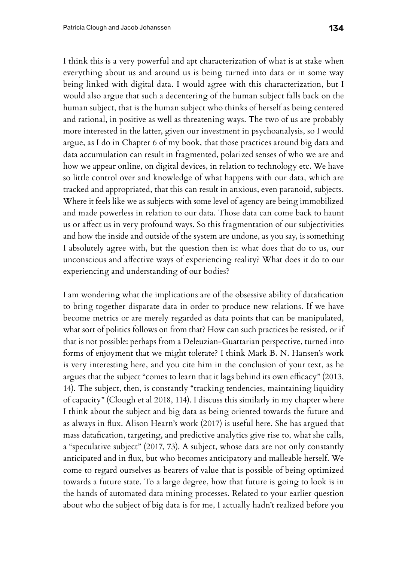I think this is a very powerful and apt characterization of what is at stake when everything about us and around us is being turned into data or in some way being linked with digital data. I would agree with this characterization, but I would also argue that such a decentering of the human subject falls back on the human subject, that is the human subject who thinks of herself as being centered and rational, in positive as well as threatening ways. The two of us are probably more interested in the latter, given our investment in psychoanalysis, so I would argue, as I do in Chapter 6 of my book, that those practices around big data and data accumulation can result in fragmented, polarized senses of who we are and how we appear online, on digital devices, in relation to technology etc. We have so little control over and knowledge of what happens with our data, which are tracked and appropriated, that this can result in anxious, even paranoid, subjects. Where it feels like we as subjects with some level of agency are being immobilized and made powerless in relation to our data. Those data can come back to haunt us or afect us in very profound ways. So this fragmentation of our subjectivities and how the inside and outside of the system are undone, as you say, is something I absolutely agree with, but the question then is: what does that do to us, our unconscious and afective ways of experiencing reality? What does it do to our experiencing and understanding of our bodies?

I am wondering what the implications are of the obsessive ability of datafcation to bring together disparate data in order to produce new relations. If we have become metrics or are merely regarded as data points that can be manipulated, what sort of politics follows on from that? How can such practices be resisted, or if that is not possible: perhaps from a Deleuzian-Guattarian perspective, turned into forms of enjoyment that we might tolerate? I think Mark B. N. Hansen's work is very interesting here, and you cite him in the conclusion of your text, as he argues that the subject "comes to learn that it lags behind its own efficacy" (2013, 14). The subject, then, is constantly "tracking tendencies, maintaining liquidity of capacity" (Clough et al 2018, 114). I discuss this similarly in my chapter where I think about the subject and big data as being oriented towards the future and as always in fux. Alison Hearn's work (2017) is useful here. She has argued that mass datafcation, targeting, and predictive analytics give rise to, what she calls, a "speculative subject" (2017, 73). A subject, whose data are not only constantly anticipated and in fux, but who becomes anticipatory and malleable herself. We come to regard ourselves as bearers of value that is possible of being optimized towards a future state. To a large degree, how that future is going to look is in the hands of automated data mining processes. Related to your earlier question about who the subject of big data is for me, I actually hadn't realized before you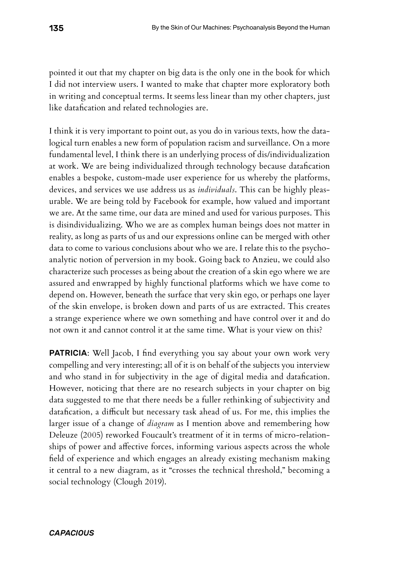pointed it out that my chapter on big data is the only one in the book for which I did not interview users. I wanted to make that chapter more exploratory both in writing and conceptual terms. It seems less linear than my other chapters, just like datafcation and related technologies are.

I think it is very important to point out, as you do in various texts, how the datalogical turn enables a new form of population racism and surveillance. On a more fundamental level, I think there is an underlying process of dis/individualization at work. We are being individualized through technology because datafcation enables a bespoke, custom-made user experience for us whereby the platforms, devices, and services we use address us as *individuals*. This can be highly pleasurable. We are being told by Facebook for example, how valued and important we are. At the same time, our data are mined and used for various purposes. This is disindividualizing. Who we are as complex human beings does not matter in reality, as long as parts of us and our expressions online can be merged with other data to come to various conclusions about who we are. I relate this to the psychoanalytic notion of perversion in my book. Going back to Anzieu, we could also characterize such processes as being about the creation of a skin ego where we are assured and enwrapped by highly functional platforms which we have come to depend on. However, beneath the surface that very skin ego, or perhaps one layer of the skin envelope, is broken down and parts of us are extracted. This creates a strange experience where we own something and have control over it and do not own it and cannot control it at the same time. What is your view on this?

**PATRICIA:** Well Jacob, I find everything you say about your own work very compelling and very interesting; all of it is on behalf of the subjects you interview and who stand in for subjectivity in the age of digital media and datafcation. However, noticing that there are no research subjects in your chapter on big data suggested to me that there needs be a fuller rethinking of subjectivity and datafication, a difficult but necessary task ahead of us. For me, this implies the larger issue of a change of *diagram* as I mention above and remembering how Deleuze (2005) reworked Foucault's treatment of it in terms of micro-relationships of power and afective forces, informing various aspects across the whole feld of experience and which engages an already existing mechanism making it central to a new diagram, as it "crosses the technical threshold," becoming a social technology (Clough 2019).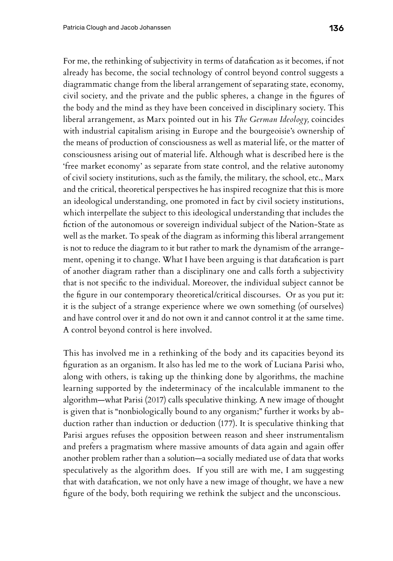For me, the rethinking of subjectivity in terms of datafcation as it becomes, if not already has become, the social technology of control beyond control suggests a diagrammatic change from the liberal arrangement of separating state, economy, civil society, and the private and the public spheres, a change in the fgures of the body and the mind as they have been conceived in disciplinary society. This liberal arrangement, as Marx pointed out in his *The German Ideology,* coincides with industrial capitalism arising in Europe and the bourgeoisie's ownership of the means of production of consciousness as well as material life, or the matter of consciousness arising out of material life. Although what is described here is the 'free market economy' as separate from state control, and the relative autonomy of civil society institutions, such as the family, the military, the school, etc., Marx and the critical, theoretical perspectives he has inspired recognize that this is more an ideological understanding, one promoted in fact by civil society institutions, which interpellate the subject to this ideological understanding that includes the fction of the autonomous or sovereign individual subject of the Nation-State as well as the market. To speak of the diagram as informing this liberal arrangement is not to reduce the diagram to it but rather to mark the dynamism of the arrangement, opening it to change. What I have been arguing is that datafcation is part of another diagram rather than a disciplinary one and calls forth a subjectivity that is not specifc to the individual. Moreover, the individual subject cannot be the fgure in our contemporary theoretical/critical discourses. Or as you put it: it is the subject of a strange experience where we own something (of ourselves) and have control over it and do not own it and cannot control it at the same time. A control beyond control is here involved.

This has involved me in a rethinking of the body and its capacities beyond its fguration as an organism. It also has led me to the work of Luciana Parisi who, along with others, is taking up the thinking done by algorithms, the machine learning supported by the indeterminacy of the incalculable immanent to the algorithm—what Parisi (2017) calls speculative thinking. A new image of thought is given that is "nonbiologically bound to any organism;" further it works by abduction rather than induction or deduction (177). It is speculative thinking that Parisi argues refuses the opposition between reason and sheer instrumentalism and prefers a pragmatism where massive amounts of data again and again offer another problem rather than a solution—a socially mediated use of data that works speculatively as the algorithm does. If you still are with me, I am suggesting that with datafcation, we not only have a new image of thought, we have a new fgure of the body, both requiring we rethink the subject and the unconscious.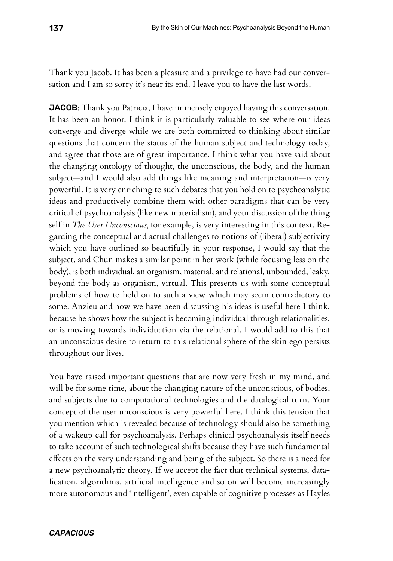Thank you Jacob. It has been a pleasure and a privilege to have had our conversation and I am so sorry it's near its end. I leave you to have the last words.

**JACOB**: Thank you Patricia, I have immensely enjoyed having this conversation. It has been an honor. I think it is particularly valuable to see where our ideas converge and diverge while we are both committed to thinking about similar questions that concern the status of the human subject and technology today, and agree that those are of great importance. I think what you have said about the changing ontology of thought, the unconscious, the body, and the human subject—and I would also add things like meaning and interpretation—is very powerful. It is very enriching to such debates that you hold on to psychoanalytic ideas and productively combine them with other paradigms that can be very critical of psychoanalysis (like new materialism), and your discussion of the thing self in *The User Unconscious,* for example, is very interesting in this context. Regarding the conceptual and actual challenges to notions of (liberal) subjectivity which you have outlined so beautifully in your response, I would say that the subject, and Chun makes a similar point in her work (while focusing less on the body), is both individual, an organism, material, and relational, unbounded, leaky, beyond the body as organism, virtual. This presents us with some conceptual problems of how to hold on to such a view which may seem contradictory to some. Anzieu and how we have been discussing his ideas is useful here I think, because he shows how the subject is becoming individual through relationalities, or is moving towards individuation via the relational. I would add to this that an unconscious desire to return to this relational sphere of the skin ego persists throughout our lives.

You have raised important questions that are now very fresh in my mind, and will be for some time, about the changing nature of the unconscious, of bodies, and subjects due to computational technologies and the datalogical turn. Your concept of the user unconscious is very powerful here. I think this tension that you mention which is revealed because of technology should also be something of a wakeup call for psychoanalysis. Perhaps clinical psychoanalysis itself needs to take account of such technological shifts because they have such fundamental efects on the very understanding and being of the subject. So there is a need for a new psychoanalytic theory. If we accept the fact that technical systems, datafcation, algorithms, artifcial intelligence and so on will become increasingly more autonomous and 'intelligent', even capable of cognitive processes as Hayles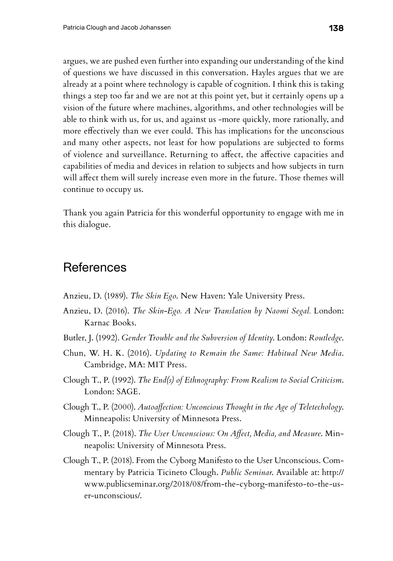argues, we are pushed even further into expanding our understanding of the kind of questions we have discussed in this conversation. Hayles argues that we are already at a point where technology is capable of cognition. I think this is taking things a step too far and we are not at this point yet, but it certainly opens up a vision of the future where machines, algorithms, and other technologies will be able to think with us, for us, and against us -more quickly, more rationally, and more efectively than we ever could. This has implications for the unconscious and many other aspects, not least for how populations are subjected to forms of violence and surveillance. Returning to afect, the afective capacities and capabilities of media and devices in relation to subjects and how subjects in turn will afect them will surely increase even more in the future. Those themes will continue to occupy us.

Thank you again Patricia for this wonderful opportunity to engage with me in this dialogue.

# **References**

- Anzieu, D. (1989). *The Skin Ego*. New Haven: Yale University Press.
- Anzieu, D. (2016). *The Skin-Ego. A New Translation by Naomi Segal.* London: Karnac Books.
- Butler, J. (1992). *Gender Trouble and the Subversion of Identity*. London: *Routledge*.
- Chun, W. H. K. (2016). *Updating to Remain the Same: Habitual New Media*. Cambridge, MA: MIT Press.
- Clough T., P. (1992). *The End(s) of Ethnography: From Realism to Social Criticism*. London: SAGE.
- Clough T., P. (2000). *Autoafection: Unconcious Thought in the Age of Teletechology*. Minneapolis: University of Minnesota Press.
- Clough T., P. (2018). *The User Unconscious: On Afect, Media, and Measure*. Minneapolis: University of Minnesota Press.
- Clough T., P. (2018). From the Cyborg Manifesto to the User Unconscious. Commentary by Patricia Ticineto Clough. *Public Seminar*. Available at: http:// www.publicseminar.org/2018/08/from-the-cyborg-manifesto-to-the-user-unconscious/.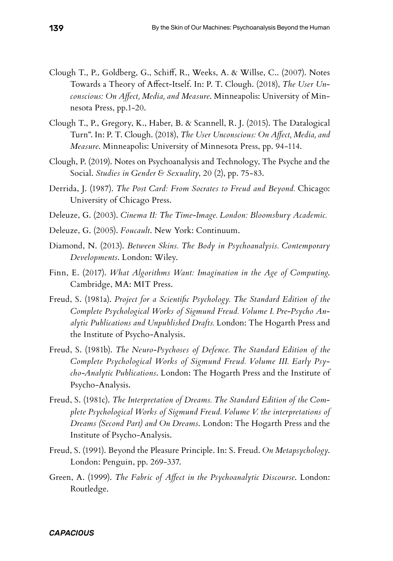- Clough T., P., Goldberg, G., Schif, R., Weeks, A. & Willse, C.. (2007). Notes Towards a Theory of Afect-Itself. In: P. T. Clough. (2018), *The User Unconscious: On Afect, Media, and Measure*. Minneapolis: University of Minnesota Press, pp.1-20.
- Clough T., P., Gregory, K., Haber, B. & Scannell, R. J. (2015). The Datalogical Turn". In: P. T. Clough. (2018), *The User Unconscious: On Afect, Media, and Measure*. Minneapolis: University of Minnesota Press, pp. 94-114.
- Clough, P. (2019). Notes on Psychoanalysis and Technology, The Psyche and the Social. *Studies in Gender & Sexuality*, 20 (2), pp. 75-83.
- Derrida, J. (1987). *The Post Card: From Socrates to Freud and Beyond.* Chicago: University of Chicago Press.
- Deleuze, G. (2003). *Cinema II: The Time-Image. London: Bloomsbury Academic.*
- Deleuze, G. (2005). *Foucault*. New York: Continuum.
- Diamond, N. (2013). *Between Skins. The Body in Psychoanalysis. Contemporary Developments*. London: Wiley.
- Finn, E. (2017). *What Algorithms Want: Imagination in the Age of Computing*. Cambridge, MA: MIT Press.
- Freud, S. (1981a). *Project for a Scientifc Psychology. The Standard Edition of the Complete Psychological Works of Sigmund Freud. Volume I. Pre-Psycho Analytic Publications and Unpublished Drafts.* London: The Hogarth Press and the Institute of Psycho-Analysis.
- Freud, S. (1981b). *The Neuro-Psychoses of Defence. The Standard Edition of the Complete Psychological Works of Sigmund Freud. Volume III. Early Psycho-Analytic Publications*. London: The Hogarth Press and the Institute of Psycho-Analysis.
- Freud, S. (1981c). *The Interpretation of Dreams. The Standard Edition of the Complete Psychological Works of Sigmund Freud. Volume V. the interpretations of Dreams (Second Part) and On Dreams*. London: The Hogarth Press and the Institute of Psycho-Analysis.
- Freud, S. (1991). Beyond the Pleasure Principle. In: S. Freud. *On Metapsychology*. London: Penguin, pp. 269-337.
- Green, A. (1999). *The Fabric of Afect in the Psychoanalytic Discourse*. London: Routledge.